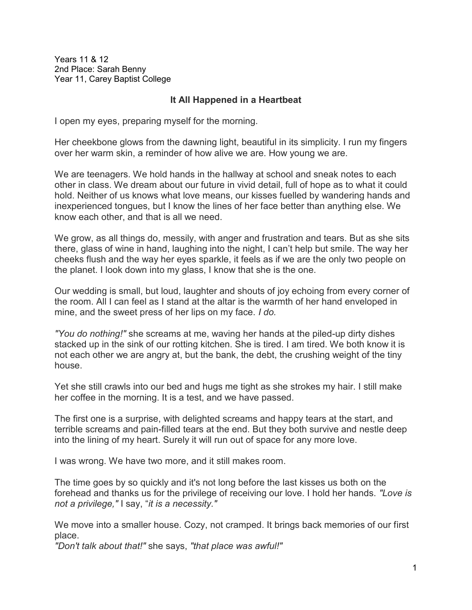Years 11 & 12 2nd Place: Sarah Benny Year 11, Carey Baptist College

## **It All Happened in a Heartbeat**

I open my eyes, preparing myself for the morning.

Her cheekbone glows from the dawning light, beautiful in its simplicity. I run my fingers over her warm skin, a reminder of how alive we are. How young we are.

We are teenagers. We hold hands in the hallway at school and sneak notes to each other in class. We dream about our future in vivid detail, full of hope as to what it could hold. Neither of us knows what love means, our kisses fuelled by wandering hands and inexperienced tongues, but I know the lines of her face better than anything else. We know each other, and that is all we need.

We grow, as all things do, messily, with anger and frustration and tears. But as she sits there, glass of wine in hand, laughing into the night, I can't help but smile. The way her cheeks flush and the way her eyes sparkle, it feels as if we are the only two people on the planet. I look down into my glass, I know that she is the one.

Our wedding is small, but loud, laughter and shouts of joy echoing from every corner of the room. All I can feel as I stand at the altar is the warmth of her hand enveloped in mine, and the sweet press of her lips on my face. *I do.*

*"You do nothing!"* she screams at me, waving her hands at the piled-up dirty dishes stacked up in the sink of our rotting kitchen. She is tired. I am tired. We both know it is not each other we are angry at, but the bank, the debt, the crushing weight of the tiny house.

Yet she still crawls into our bed and hugs me tight as she strokes my hair. I still make her coffee in the morning. It is a test, and we have passed.

The first one is a surprise, with delighted screams and happy tears at the start, and terrible screams and pain-filled tears at the end. But they both survive and nestle deep into the lining of my heart. Surely it will run out of space for any more love.

I was wrong. We have two more, and it still makes room.

The time goes by so quickly and it's not long before the last kisses us both on the forehead and thanks us for the privilege of receiving our love. I hold her hands. *"Love is not a privilege,"* I say, "*it is a necessity."*

We move into a smaller house. Cozy, not cramped. It brings back memories of our first place.

*"Don't talk about that!"* she says, *"that place was awful!"*